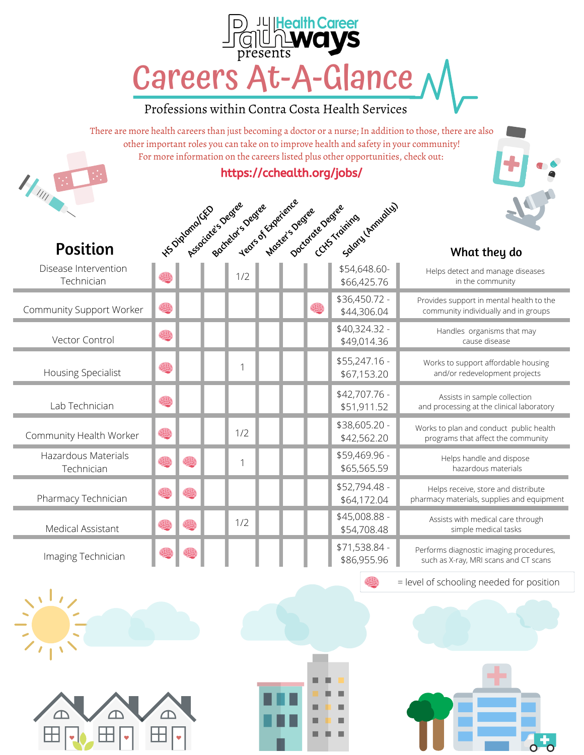## Careers At-A-Glance **JL|Health Career**

## Professions within Contra Costa Health Services

There are more health careers than just becoming a doctor or a nurse; In addition to those, there are also other important roles you can take on to improve health and safety in your community! For more information on the careers listed plus other opportunities, check out:

## https://cchealth.org/jobs/

|                                    |   |    | HS Digomanux - Joeniee Section |  |   | Ye Oedee Stracteries Oeder Cuts Training Innualist |                                                                                   |
|------------------------------------|---|----|--------------------------------|--|---|----------------------------------------------------|-----------------------------------------------------------------------------------|
| <b>Position</b>                    |   |    |                                |  |   |                                                    | What they do                                                                      |
| Disease Intervention<br>Technician |   |    | 1/2                            |  |   | \$54,648.60-<br>\$66,425.76                        | Helps detect and manage diseases<br>in the community                              |
| Community Support Worker           | 懲 |    |                                |  | 爆 | \$36,450.72 -<br>\$44,306.04                       | Provides support in mental health to the<br>community individually and in groups  |
| Vector Control                     | 舆 |    |                                |  |   | \$40,324.32 -<br>\$49,014.36                       | Handles organisms that may<br>cause disease                                       |
| Housing Specialist                 | 選 |    |                                |  |   | \$55,247.16 -<br>\$67,153.20                       | Works to support affordable housing<br>and/or redevelopment projects              |
| Lab Technician                     | 選 |    |                                |  |   | \$42,707.76 -<br>\$51,911.52                       | Assists in sample collection<br>and processing at the clinical laboratory         |
| Community Health Worker            | 爆 |    | 1/2                            |  |   | \$38,605.20 -<br>\$42,562.20                       | Works to plan and conduct public health<br>programs that affect the community     |
| Hazardous Materials<br>Technician  | 爆 |    | 1                              |  |   | \$59,469.96 -<br>\$65,565.59                       | Helps handle and dispose<br>hazardous materials                                   |
| Pharmacy Technician                | 爆 | 应见 |                                |  |   | \$52,794.48 -<br>\$64,172.04                       | Helps receive, store and distribute<br>pharmacy materials, supplies and equipment |
| Medical Assistant                  | 您 |    | 1/2                            |  |   | \$45,008.88 -<br>\$54,708.48                       | Assists with medical care through<br>simple medical tasks                         |
| Imaging Technician                 |   |    |                                |  |   | \$71,538.84 -<br>\$86,955.96                       | Performs diagnostic imaging procedures,<br>such as X-ray, MRI scans and CT scans  |

= level of schooling needed for position



 $H_{\mu}$